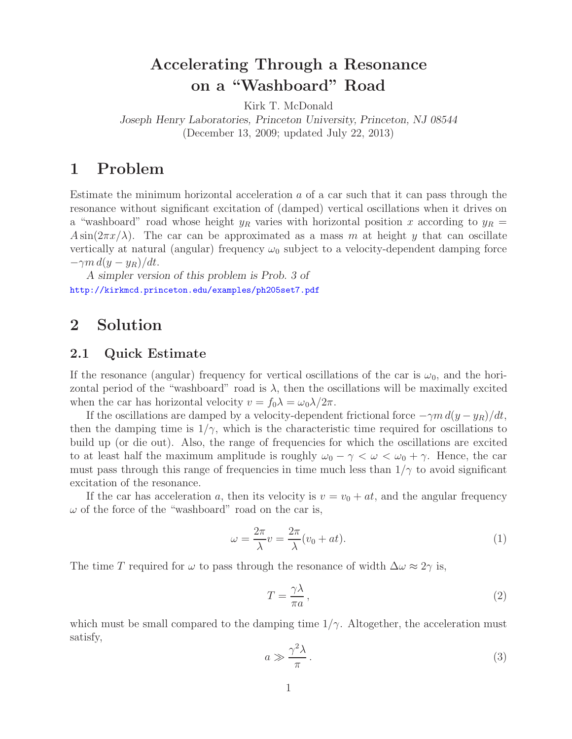## **Accelerating Through a Resonance on a "Washboard" Road**

Kirk T. McDonald *Joseph Henry Laboratories, Princeton University, Princeton, NJ 08544* (December 13, 2009; updated July 22, 2013)

## **1 Problem**

Estimate the minimum horizontal acceleration  $a$  of a car such that it can pass through the resonance without significant excitation of (damped) vertical oscillations when it drives on a "washboard" road whose height  $y_R$  varies with horizontal position x according to  $y_R =$  $A\sin(2\pi x/\lambda)$ . The car can be approximated as a mass m at height y that can oscillate vertically at natural (angular) frequency  $\omega_0$  subject to a velocity-dependent damping force  $-\gamma m d(y - y_R)/dt$ .

*A simpler version of this problem is Prob. 3 of* http://kirkmcd.princeton.edu/examples/ph205set7.pdf

### **2 Solution**

### **2.1 Quick Estimate**

If the resonance (angular) frequency for vertical oscillations of the car is  $\omega_0$ , and the horizontal period of the "washboard" road is  $\lambda$ , then the oscillations will be maximally excited when the car has horizontal velocity  $v = f_0 \lambda = \omega_0 \lambda / 2\pi$ .

If the oscillations are damped by a velocity-dependent frictional force  $-\gamma m d(y - y_R)/dt$ , then the damping time is  $1/\gamma$ , which is the characteristic time required for oscillations to build up (or die out). Also, the range of frequencies for which the oscillations are excited to at least half the maximum amplitude is roughly  $\omega_0 - \gamma < \omega < \omega_0 + \gamma$ . Hence, the car must pass through this range of frequencies in time much less than  $1/\gamma$  to avoid significant excitation of the resonance.

If the car has acceleration a, then its velocity is  $v = v_0 + at$ , and the angular frequency  $\omega$  of the force of the "washboard" road on the car is,

$$
\omega = \frac{2\pi}{\lambda} v = \frac{2\pi}{\lambda} (v_0 + at).
$$
 (1)

The time T required for  $\omega$  to pass through the resonance of width  $\Delta \omega \approx 2\gamma$  is,

$$
T = \frac{\gamma \lambda}{\pi a},\tag{2}
$$

which must be small compared to the damping time  $1/\gamma$ . Altogether, the acceleration must satisfy,

$$
a \gg \frac{\gamma^2 \lambda}{\pi} \,. \tag{3}
$$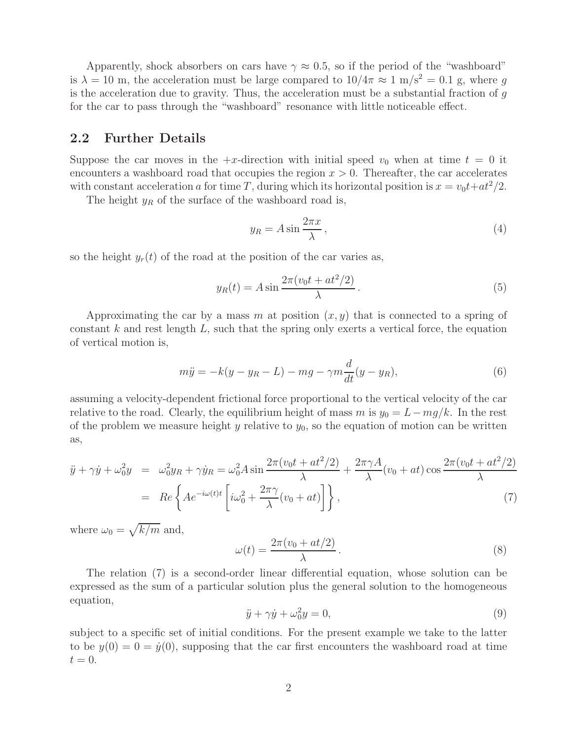Apparently, shock absorbers on cars have  $\gamma \approx 0.5$ , so if the period of the "washboard" is  $\lambda = 10$  m, the acceleration must be large compared to  $10/4\pi \approx 1$  m/s<sup>2</sup> = 0.1 g, where q is the acceleration due to gravity. Thus, the acceleration must be a substantial fraction of  $q$ for the car to pass through the "washboard" resonance with little noticeable effect.

#### **2.2 Further Details**

Suppose the car moves in the  $+x$ -direction with initial speed  $v_0$  when at time  $t = 0$  it encounters a washboard road that occupies the region  $x > 0$ . Thereafter, the car accelerates with constant acceleration a for time T, during which its horizontal position is  $x = v_0 t + a t^2/2$ .

The height  $y_R$  of the surface of the washboard road is,

$$
y_R = A \sin \frac{2\pi x}{\lambda},\tag{4}
$$

so the height  $y_r(t)$  of the road at the position of the car varies as,

$$
y_R(t) = A \sin \frac{2\pi (v_0 t + at^2/2)}{\lambda}.
$$
\n<sup>(5)</sup>

Approximating the car by a mass m at position  $(x, y)$  that is connected to a spring of constant  $k$  and rest length  $L$ , such that the spring only exerts a vertical force, the equation of vertical motion is,

$$
m\ddot{y} = -k(y - y_R - L) - mg - \gamma m \frac{d}{dt}(y - y_R),\tag{6}
$$

assuming a velocity-dependent frictional force proportional to the vertical velocity of the car relative to the road. Clearly, the equilibrium height of mass m is  $y_0 = L - mg/k$ . In the rest of the problem we measure height y relative to  $y_0$ , so the equation of motion can be written as,

$$
\ddot{y} + \gamma \dot{y} + \omega_0^2 y = \omega_0^2 y_R + \gamma \dot{y}_R = \omega_0^2 A \sin \frac{2\pi (v_0 t + at^2/2)}{\lambda} + \frac{2\pi \gamma A}{\lambda} (v_0 + at) \cos \frac{2\pi (v_0 t + at^2/2)}{\lambda}
$$

$$
= Re \left\{ A e^{-i\omega(t)t} \left[ i\omega_0^2 + \frac{2\pi \gamma}{\lambda} (v_0 + at) \right] \right\},\tag{7}
$$

where  $\omega_0 = \sqrt{k/m}$  and,

$$
\omega(t) = \frac{2\pi(v_0 + at/2)}{\lambda}.
$$
\n(8)

The relation (7) is a second-order linear differential equation, whose solution can be expressed as the sum of a particular solution plus the general solution to the homogeneous equation,

$$
\ddot{y} + \gamma \dot{y} + \omega_0^2 y = 0,\tag{9}
$$

subject to a specific set of initial conditions. For the present example we take to the latter to be  $y(0) = 0 = \dot{y}(0)$ , supposing that the car first encounters the washboard road at time  $t=0.$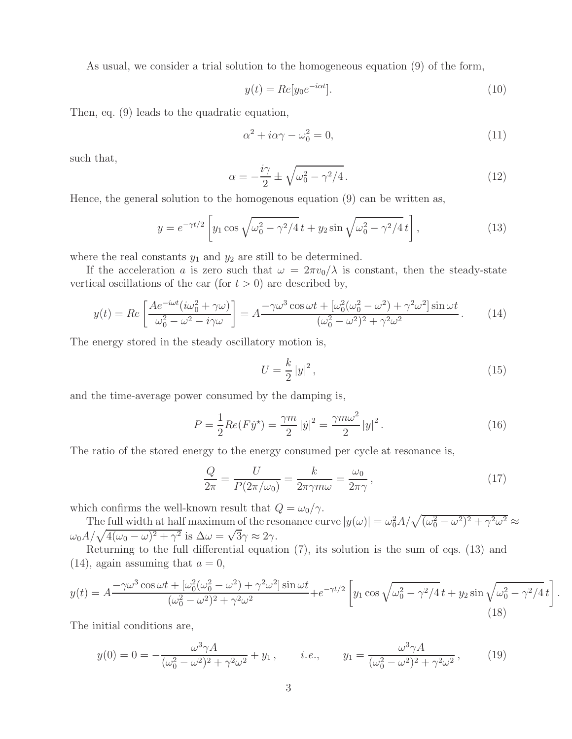As usual, we consider a trial solution to the homogeneous equation (9) of the form,

$$
y(t) = Re[y_0 e^{-i\alpha t}].
$$
\n(10)

Then, eq. (9) leads to the quadratic equation,

$$
\alpha^2 + i\alpha\gamma - \omega_0^2 = 0,\tag{11}
$$

such that,

$$
\alpha = -\frac{i\gamma}{2} \pm \sqrt{\omega_0^2 - \gamma^2/4} \,. \tag{12}
$$

Hence, the general solution to the homogenous equation (9) can be written as,

$$
y = e^{-\gamma t/2} \left[ y_1 \cos \sqrt{\omega_0^2 - \gamma^2/4} t + y_2 \sin \sqrt{\omega_0^2 - \gamma^2/4} t \right],
$$
 (13)

where the real constants  $y_1$  and  $y_2$  are still to be determined.

If the acceleration a is zero such that  $\omega = 2\pi v_0/\lambda$  is constant, then the steady-state vertical oscillations of the car (for  $t > 0$ ) are described by,

$$
y(t) = Re\left[\frac{Ae^{-i\omega t}(i\omega_0^2 + \gamma\omega)}{\omega_0^2 - \omega^2 - i\gamma\omega}\right] = A\frac{-\gamma\omega^3\cos\omega t + [\omega_0^2(\omega_0^2 - \omega^2) + \gamma^2\omega^2]\sin\omega t}{(\omega_0^2 - \omega^2)^2 + \gamma^2\omega^2}.
$$
 (14)

The energy stored in the steady oscillatory motion is,

$$
U = \frac{k}{2} |y|^2, \qquad (15)
$$

.

and the time-average power consumed by the damping is,

$$
P = \frac{1}{2} Re(F\dot{y}^*) = \frac{\gamma m}{2} |\dot{y}|^2 = \frac{\gamma m \omega^2}{2} |y|^2.
$$
 (16)

The ratio of the stored energy to the energy consumed per cycle at resonance is,

$$
\frac{Q}{2\pi} = \frac{U}{P(2\pi/\omega_0)} = \frac{k}{2\pi\gamma m\omega} = \frac{\omega_0}{2\pi\gamma},\qquad(17)
$$

which confirms the well-known result that  $Q = \omega_0/\gamma$ .

The full width at half maximum of the resonance curve  $|y(\omega)| = \omega_0^2 A / \sqrt{(\omega_0^2 - \omega^2)^2 + \gamma^2 \omega^2} \approx$  $\omega_0 A / \sqrt{4(\omega_0 - \omega)^2 + \gamma^2}$  is  $\Delta \omega = \sqrt{3}\gamma \approx 2\gamma$ .

Returning to the full differential equation (7), its solution is the sum of eqs. (13) and  $(14)$ , again assuming that  $a = 0$ ,

$$
y(t) = A \frac{-\gamma \omega^3 \cos \omega t + [\omega_0^2 (\omega_0^2 - \omega^2) + \gamma^2 \omega^2] \sin \omega t}{(\omega_0^2 - \omega^2)^2 + \gamma^2 \omega^2} + e^{-\gamma t/2} \left[ y_1 \cos \sqrt{\omega_0^2 - \gamma^2 / 4} \, t + y_2 \sin \sqrt{\omega_0^2 - \gamma^2 / 4} \, t \right]
$$
\n(18)

The initial conditions are,

$$
y(0) = 0 = -\frac{\omega^3 \gamma A}{(\omega_0^2 - \omega^2)^2 + \gamma^2 \omega^2} + y_1, \qquad i.e., \qquad y_1 = \frac{\omega^3 \gamma A}{(\omega_0^2 - \omega^2)^2 + \gamma^2 \omega^2}, \tag{19}
$$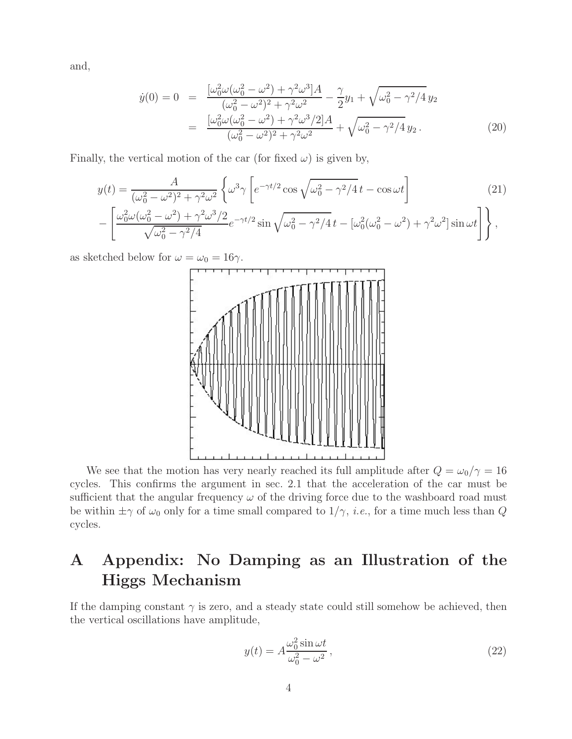and,

$$
\dot{y}(0) = 0 = \frac{[\omega_0^2 \omega (\omega_0^2 - \omega^2) + \gamma^2 \omega^3] A}{(\omega_0^2 - \omega^2)^2 + \gamma^2 \omega^2} - \frac{\gamma}{2} y_1 + \sqrt{\omega_0^2 - \gamma^2 / 4} y_2
$$

$$
= \frac{[\omega_0^2 \omega (\omega_0^2 - \omega^2) + \gamma^2 \omega^3 / 2] A}{(\omega_0^2 - \omega^2)^2 + \gamma^2 \omega^2} + \sqrt{\omega_0^2 - \gamma^2 / 4} y_2.
$$
(20)

Finally, the vertical motion of the car (for fixed  $\omega$ ) is given by,

$$
y(t) = \frac{A}{(\omega_0^2 - \omega^2)^2 + \gamma^2 \omega^2} \left\{ \omega^3 \gamma \left[ e^{-\gamma t/2} \cos \sqrt{\omega_0^2 - \gamma^2/4} t - \cos \omega t \right] \right\} \tag{21}
$$

$$
-\left[\frac{\omega_0^2 \omega(\omega_0^2-\omega^2)+\gamma^2 \omega^3/2}{\sqrt{\omega_0^2-\gamma^2/4}}e^{-\gamma t/2}\sin\sqrt{\omega_0^2-\gamma^2/4}t - [\omega_0^2(\omega_0^2-\omega^2)+\gamma^2 \omega^2]\sin\omega t\right]\bigg\},\right.
$$

as sketched below for  $\omega = \omega_0 = 16\gamma$ .



We see that the motion has very nearly reached its full amplitude after  $Q = \omega_0/\gamma = 16$ cycles. This confirms the argument in sec. 2.1 that the acceleration of the car must be sufficient that the angular frequency  $\omega$  of the driving force due to the washboard road must be within  $\pm \gamma$  of  $\omega_0$  only for a time small compared to  $1/\gamma$ , *i.e.*, for a time much less than Q cycles.

# **A Appendix: No Damping as an Illustration of the Higgs Mechanism**

If the damping constant  $\gamma$  is zero, and a steady state could still somehow be achieved, then the vertical oscillations have amplitude,

$$
y(t) = A \frac{\omega_0^2 \sin \omega t}{\omega_0^2 - \omega^2},
$$
\n(22)